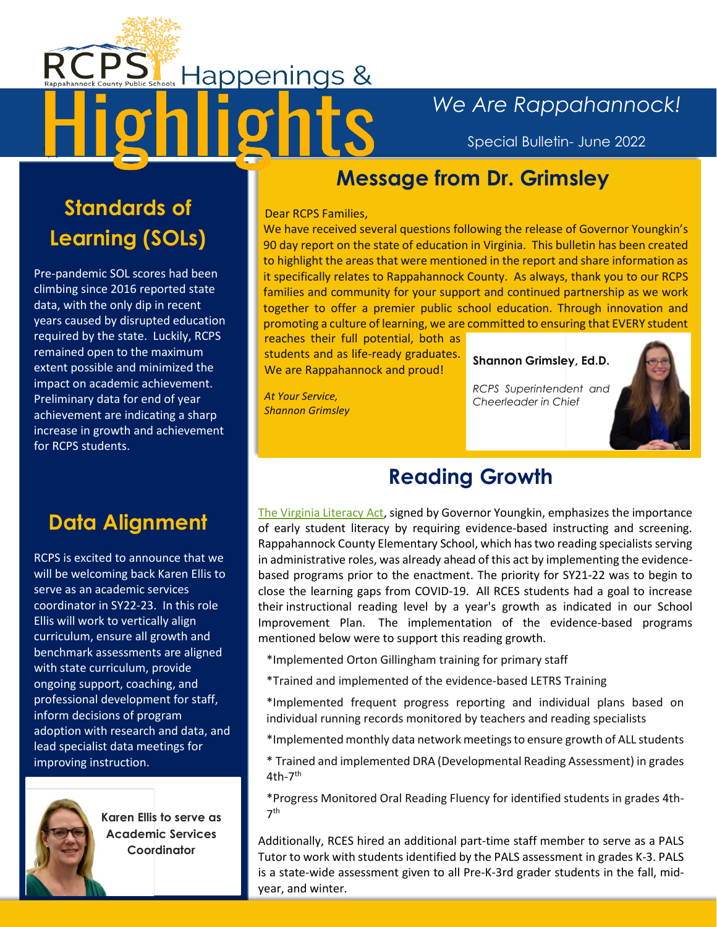# **Happenings &**

## *We Are Rappahannock!*

Special Bulletin- June 2022

#### **Message from Dr. Grimsley**

#### Dear RCPS Families,

We have received several questions following the release of Governor Youngkin's 90 day report on the state of education in Virginia. This bulletin has been created to highlight the areas that were mentioned in the report and share information as it specifically relates to Rappahannock County. As always, thank you to our RCPS families and community for your support and continued partnership as we work together to offer a premier public school education. Through innovation and promoting a culture of learning, we are committed to ensuring that EVERY student

reaches their full potential, both as students and as life-ready graduates. We are Rappahannock and proud!

*At Your Service, Shannon Grimsley*

#### **Shannon Grimsley, Ed.D.**

*RCPS Superintendent and Cheerleader in Chief*



### **Reading Growth**

The Virginia [Literacy Act,](https://lis.virginia.gov/cgi-bin/legp604.exe?221+sum+SB616) signed by Governor Youngkin, emphasizes the importance of early student literacy by requiring evidence-based instructing and screening. Rappahannock County Elementary School, which has two reading specialists serving in administrative roles, was already ahead of this act by implementing the evidencebased programs prior to the enactment. The priority for SY21-22 was to begin to close the learning gaps from COVID-19. All RCES students had a goal to increase their instructional reading level by a year's growth as indicated in our School Improvement Plan. The implementation of the evidence-based programs mentioned below were to support this reading growth.

\*Implemented Orton Gillingham training for primary staff

- \*Trained and implemented of the evidence-based LETRS Training
- \*Implemented frequent progress reporting and individual plans based on individual running records monitored by teachers and reading specialists
- \*Implementedmonthly data network meetings to ensure growth of ALL students
- \* Trained and implemented DRA (Developmental Reading Assessment) in grades 4th-7<sup>th</sup>

\*Progress Monitored Oral Reading Fluency for identified students in grades 4th-7 th

Additionally, RCES hired an additional part-time staff member to serve as a PALS Tutor to work with students identified by the PALS assessment in grades K-3. PALS is a state-wide assessment given to all Pre-K-3rd grader students in the fall, midyear, and winter.

# **Standards of Learning (SOLs)**

 $\overline{\phantom{a}}$ 

Pre-pandemic SOL scores had been climbing since 2016 reported state data, with the only dip in recent years caused by disrupted education required by the state. Luckily, RCPS remained open to the maximum extent possible and minimized the impact on academic achievement. Preliminary data for end of year achievement are indicating a sharp increase in growth and achievement for RCPS students.

## **Data Alignment**

RCPS is excited to announce that we will be welcoming back Karen Ellis to serve as an academic services coordinator in SY22-23. In this role Ellis will work to vertically align curriculum, ensure all growth and benchmark assessments are aligned with state curriculum, provide ongoing support, coaching, and professional development for staff, inform decisions of program adoption with research and data, and lead specialist data meetings for improving instruction.



**Karen Ellis to serve as Academic Services Coordinator**